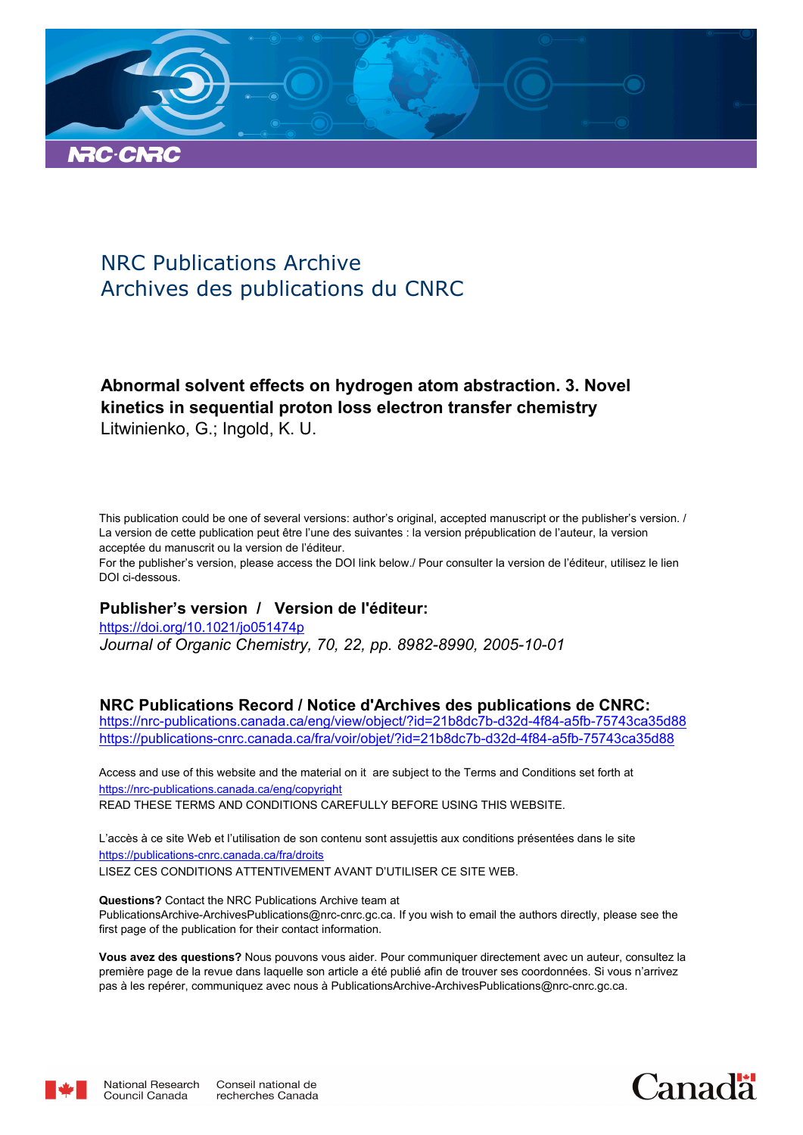

# NRC Publications Archive Archives des publications du CNRC

# **Abnormal solvent effects on hydrogen atom abstraction. 3. Novel kinetics in sequential proton loss electron transfer chemistry** Litwinienko, G.; Ingold, K. U.

This publication could be one of several versions: author's original, accepted manuscript or the publisher's version. / La version de cette publication peut être l'une des suivantes : la version prépublication de l'auteur, la version acceptée du manuscrit ou la version de l'éditeur.

For the publisher's version, please access the DOI link below./ Pour consulter la version de l'éditeur, utilisez le lien DOI ci-dessous.

### **Publisher's version / Version de l'éditeur:**

*Journal of Organic Chemistry, 70, 22, pp. 8982-8990, 2005-10-01* https://doi.org/10.1021/jo051474p

### **NRC Publications Record / Notice d'Archives des publications de CNRC:**

https://nrc-publications.canada.ca/eng/view/object/?id=21b8dc7b-d32d-4f84-a5fb-75743ca35d88 https://publications-cnrc.canada.ca/fra/voir/objet/?id=21b8dc7b-d32d-4f84-a5fb-75743ca35d88

READ THESE TERMS AND CONDITIONS CAREFULLY BEFORE USING THIS WEBSITE. https://nrc-publications.canada.ca/eng/copyright Access and use of this website and the material on it are subject to the Terms and Conditions set forth at

https://publications-cnrc.canada.ca/fra/droits L'accès à ce site Web et l'utilisation de son contenu sont assujettis aux conditions présentées dans le site LISEZ CES CONDITIONS ATTENTIVEMENT AVANT D'UTILISER CE SITE WEB.

**Questions?** Contact the NRC Publications Archive team at PublicationsArchive-ArchivesPublications@nrc-cnrc.gc.ca. If you wish to email the authors directly, please see the first page of the publication for their contact information.

**Vous avez des questions?** Nous pouvons vous aider. Pour communiquer directement avec un auteur, consultez la première page de la revue dans laquelle son article a été publié afin de trouver ses coordonnées. Si vous n'arrivez pas à les repérer, communiquez avec nous à PublicationsArchive-ArchivesPublications@nrc-cnrc.gc.ca.



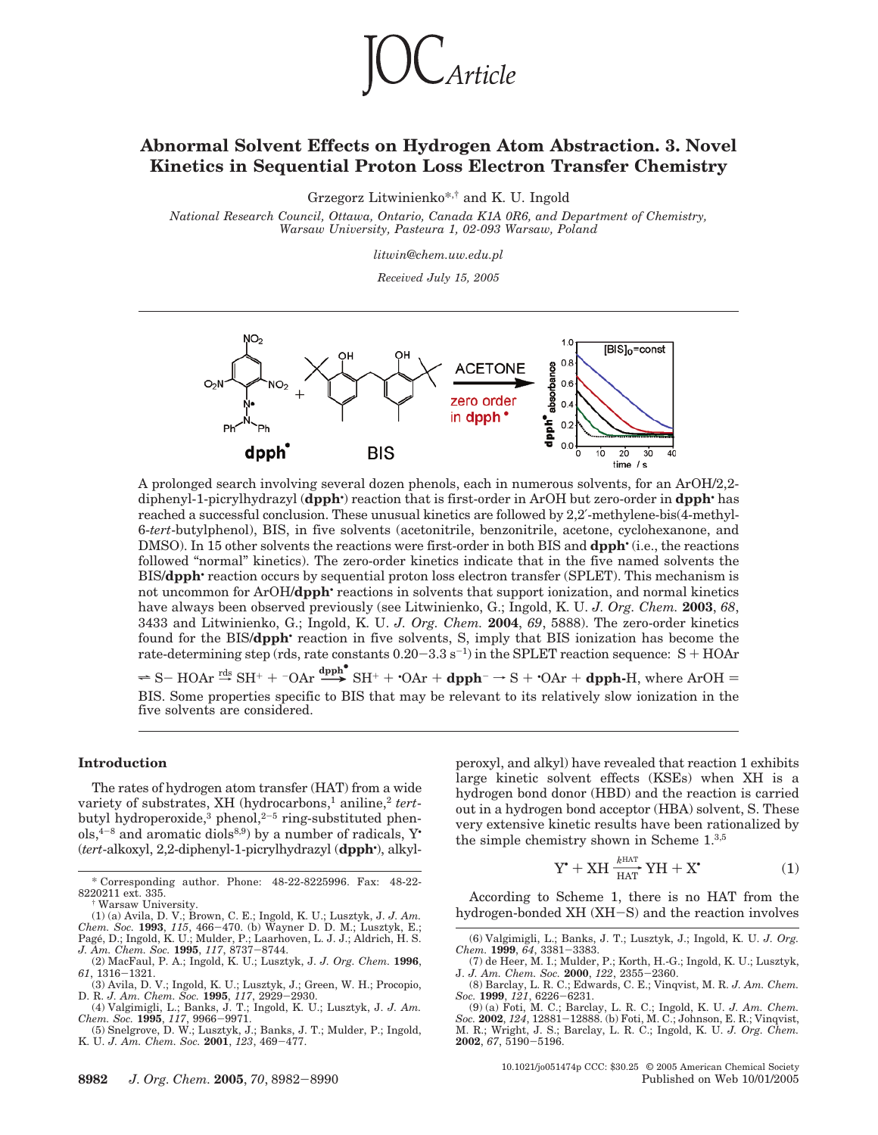

### **Abnormal Solvent Effects on Hydrogen Atom Abstraction. 3. Novel Kinetics in Sequential Proton Loss Electron Transfer Chemistry**

Grzegorz Litwinienko\*,† and K. U. Ingold

*National Research Council, Ottawa, Ontario, Canada K1A 0R6, and Department of Chemistry, Warsaw University, Pasteura 1, 02-093 Warsaw, Poland*

*litwin@chem.uw.edu.pl*

*Received July 15, 2005*



A prolonged search involving several dozen phenols, each in numerous solvents, for an ArOH/2,2 diphenyl-1-picrylhydrazyl (**dpph**• ) reaction that is first-order in ArOH but zero-order in **dpph**• has reached a successful conclusion. These unusual kinetics are followed by 2,2′-methylene-bis(4-methyl-6-*tert*-butylphenol), BIS, in five solvents (acetonitrile, benzonitrile, acetone, cyclohexanone, and DMSO). In 15 other solvents the reactions were first-order in both BIS and **dpph**• (i.e., the reactions followed "normal" kinetics). The zero-order kinetics indicate that in the five named solvents the BIS/**dpph**• reaction occurs by sequential proton loss electron transfer (SPLET). This mechanism is not uncommon for ArOH/**dpph**• reactions in solvents that support ionization, and normal kinetics have always been observed previously (see Litwinienko, G.; Ingold, K. U. *J. Org. Chem.* **2003**, *68*, 3433 and Litwinienko, G.; Ingold, K. U. *J. Org. Chem.* **2004**, *69*, 5888). The zero-order kinetics found for the BIS/**dpph**• reaction in five solvents, S, imply that BIS ionization has become the rate-determining step (rds, rate constants  $0.20-3.3$  s<sup>-1</sup>) in the SPLET reaction sequence: S + HOAr

 $\Rightarrow$  S- HOAr  $\stackrel{\text{rds}}{\rightarrow}$  SH<sup>+</sup> +  $\stackrel{\text{r}{\rightarrow}}$  OAr + **dpph<sup>-</sup>**  $\rightarrow$  S +  $\cdot$ OAr + **dpph**-H, where ArOH = BIS. Some properties specific to BIS that may be relevant to its relatively slow ionization in the five solvents are considered.

#### **Introduction**

The rates of hydrogen atom transfer (HAT) from a wide variety of substrates, XH (hydrocarbons,<sup>1</sup> aniline,<sup>2</sup> tertbutyl hydroperoxide,<sup>3</sup> phenol,<sup>2-5</sup> ring-substituted phen $ols, 4-8$  and aromatic diols<sup>8,9</sup>) by a number of radicals, Y<sup>•</sup> (*tert*-alkoxyl, 2,2-diphenyl-1-picrylhydrazyl (**dpph**• ), alkyl-

(1) (a) Avila, D. V.; Brown, C. E.; Ingold, K. U.; Lusztyk, J. J. Am. Chem. Soc. 1993, 115, 466–470. (b) Wayner D. D. M.; Lusztyk, E.; Pagé, D.; Ingold, K. U.; Mulder, P.; Laarhoven, L. J. J.; Aldrich, H. S. J. J., Am. Ch

(4) Valgimigli, L.; Banks, J. T.; Ingold, K. U.; Lusztyk, J. *J. Am. Chem. Soc.* **1995**, *117*, 9966-9971.

(5) Snelgrove, D. W.; Lusztyk, J.; Banks, J. T.; Mulder, P.; Ingold, K. U. *J. Am. Chem. Soc.* **2001**, *123*, 469-477.

peroxyl, and alkyl) have revealed that reaction 1 exhibits large kinetic solvent effects (KSEs) when XH is a hydrogen bond donor (HBD) and the reaction is carried out in a hydrogen bond acceptor (HBA) solvent, S. These very extensive kinetic results have been rationalized by very extensive kinetic results have been rate<br>the simple chemistry shown in Scheme  $1.^{3,5}$ <br> $Y^* + XH \xrightarrow{T_{\text{MAP}}} YH + X^*$ 

$$
Y^{\bullet} + XH \xrightarrow[HAT]{k^{HAT}} YH + X^{\bullet} \tag{1}
$$

According to Scheme 1, there is no HAT from the hydrogen-bonded XH (XH-S) and the reaction involves

<sup>\*</sup> Corresponding author. Phone: 48-22-8225996. Fax: 48-22- 8220211 ext. 335.

<sup>†</sup> Warsaw University.

<sup>(2)</sup> MacFaul, P. A.; Ingold, K. U.; Lusztyk, J. *J. Org. Chem.* **1996**, *61*, 1316-1321.

<sup>(3)</sup> Avila, D. V.; Ingold, K. U.; Lusztyk, J.; Green, W. H.; Procopio, D. R. *J. Am. Chem. Soc.* **1995**, *117*, 2929-2930.

<sup>(6)</sup> Valgimigli, L.; Banks, J. T.; Lusztyk, J.; Ingold, K. U. *J. Org. Chem.* **1999**, *64*, 3381-3383.

<sup>(7)</sup> de Heer, M. I.; Mulder, P.; Korth, H.-G.; Ingold, K. U.; Lusztyk, J. *J. Am. Chem. Soc.* **2000**, *122*, 2355-2360.

<sup>(8)</sup> Barclay, L. R. C.; Edwards, C. E.; Vinqvist, M. R. *J. Am. Chem. Soc.* **1999**, *121*, 6226-6231.

<sup>(9) (</sup>a) Foti, M. C.; Barclay, L. R. C.; Ingold, K. U. *J. Am. Chem. Soc.* **2002**, *124*, 12881-12888. (b) Foti, M. C.; Johnson, E. R.; Vinqvist, M. R.; Wright, J. S.; Barclay, L. R. C.; Ingold, K. U. *J. Org. Chem.* **2002**, *67*, 5190-5196.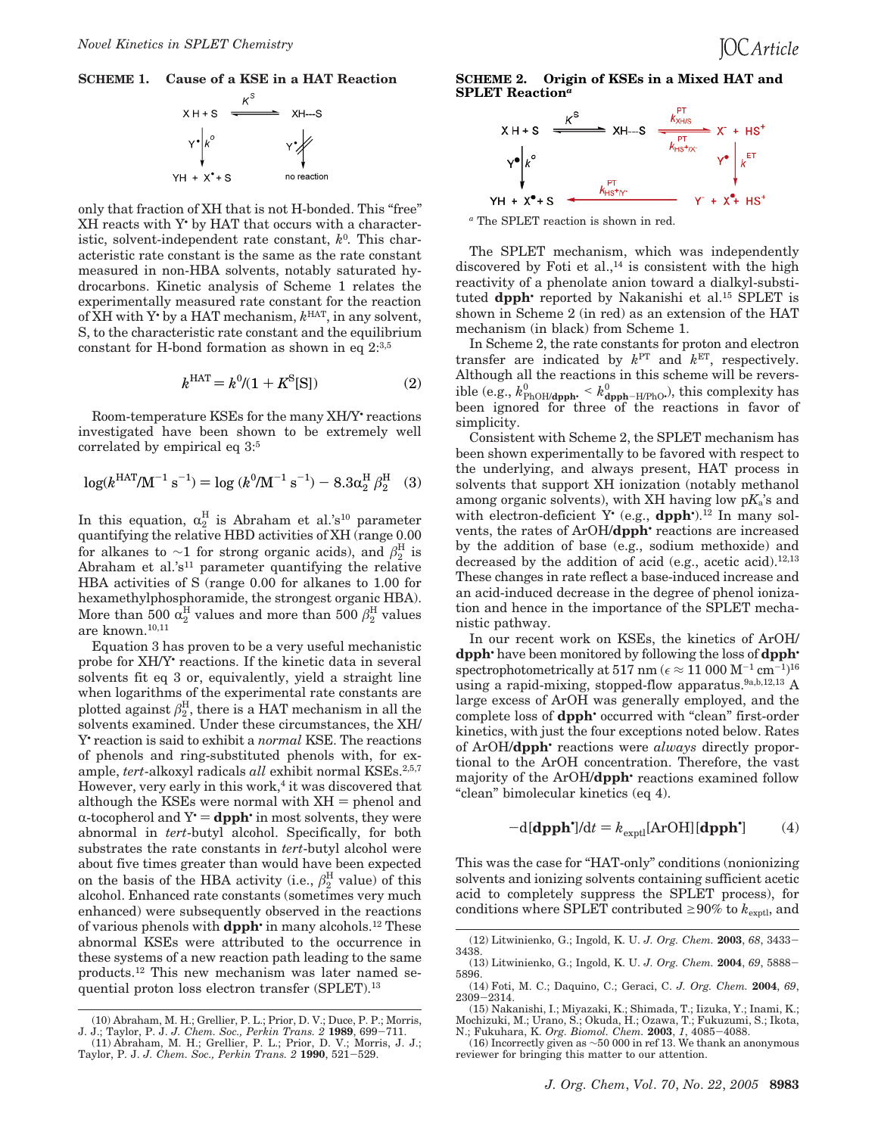



only that fraction of XH that is not H-bonded. This "free" XH reacts with Y• by HAT that occurs with a characteristic, solvent-independent rate constant,  $k^0$ . This characteristic rate constant is the same as the rate constant measured in non-HBA solvents, notably saturated hydrocarbons. Kinetic analysis of Scheme 1 relates the experimentally measured rate constant for the reaction of XH with Y• by a HAT mechanism, *k* HAT, in any solvent, S, to the characteristic rate constant and the equilibrium constant for H-bond formation as shown in eq  $2^{3,5}$ 

$$
k^{\text{HAT}} = k^0 / (1 + K^{\text{S}}[S]) \tag{2}
$$

Room-temperature KSEs for the many XH/Y• reactions investigated have been shown to be extremely well correlated by empirical eq 3:<sup>5</sup>

$$
\log(k^{\text{HAT}}/\text{M}^{-1}\text{ s}^{-1}) = \log(k^0/\text{M}^{-1}\text{ s}^{-1}) - 8.3\alpha_2^{\text{H}}\beta_2^{\text{H}} \quad (3)
$$

In this equation,  $\alpha_2^H$  is Abraham et al.'s<sup>10</sup> parameter quantifying the relative HBD activities of XH (range 0.00 for alkanes to  $\sim$ 1 for strong organic acids), and  $\beta_2^{\rm H}$  is Abraham et al.'s<sup>11</sup> parameter quantifying the relative HBA activities of S (range 0.00 for alkanes to 1.00 for hexamethylphosphoramide, the strongest organic HBA). More than 500  $\alpha^{\rm H}_2$  values and more than 500  $\beta^{\rm H}_2$  values are known.10,11

Equation 3 has proven to be a very useful mechanistic probe for XH/Y• reactions. If the kinetic data in several solvents fit eq 3 or, equivalently, yield a straight line when logarithms of the experimental rate constants are plotted against  $\beta_2^{\rm H}$ , there is a HAT mechanism in all the solvents examined. Under these circumstances, the XH/ Y• reaction is said to exhibit a *normal* KSE. The reactions of phenols and ring-substituted phenols with, for example, *tert*-alkoxyl radicals *all* exhibit normal KSEs.<sup>2,5,7</sup> However, very early in this work,<sup>4</sup> it was discovered that although the KSEs were normal with  $XH =$  phenol and  $\alpha$ -tocopherol and  $Y = \text{dpph}$  in most solvents, they were abnormal in *tert*-butyl alcohol. Specifically, for both substrates the rate constants in *tert*-butyl alcohol were about five times greater than would have been expected on the basis of the HBA activity (i.e.,  $\beta_2^{\text{H}}$  value) of this alcohol. Enhanced rate constants (sometimes very much enhanced) were subsequently observed in the reactions of various phenols with **dpph**• in many alcohols.<sup>12</sup> These abnormal KSEs were attributed to the occurrence in these systems of a new reaction path leading to the same products.<sup>12</sup> This new mechanism was later named sequential proton loss electron transfer (SPLET).<sup>13</sup>

**SCHEME 2. Origin of KSEs in a Mixed HAT and SPLET Reaction***<sup>a</sup>*



*<sup>a</sup>* The SPLET reaction is shown in red.

The SPLET mechanism, which was independently discovered by Foti et al.,<sup>14</sup> is consistent with the high reactivity of a phenolate anion toward a dialkyl-substituted **dpph**• reported by Nakanishi et al.<sup>15</sup> SPLET is shown in Scheme 2 (in red) as an extension of the HAT mechanism (in black) from Scheme 1.

In Scheme 2, the rate constants for proton and electron transfer are indicated by  $k^{\text{PT}}$  and  $k^{\text{ET}}$ , respectively. Although all the reactions in this scheme will be reversible (e.g.,  $k_{\text{PhOH/dpph}}^0$  <  $k_{\text{dpph-H/PhO}}^0$ ), this complexity has been ignored for three of the reactions in favor of simplicity.

Consistent with Scheme 2, the SPLET mechanism has been shown experimentally to be favored with respect to the underlying, and always present, HAT process in solvents that support XH ionization (notably methanol among organic solvents), with XH having low p*K*a's and with electron-deficient Y<sup>•</sup> (e.g., **dpph**<sup>•</sup>).<sup>12</sup> In many solvents, the rates of ArOH/**dpph**• reactions are increased by the addition of base (e.g., sodium methoxide) and decreased by the addition of acid (e.g., acetic acid).<sup>12,13</sup> These changes in rate reflect a base-induced increase and an acid-induced decrease in the degree of phenol ionization and hence in the importance of the SPLET mechanistic pathway.

In our recent work on KSEs, the kinetics of ArOH/ **dpph**• have been monitored by following the loss of **dpph**• spectrophotometrically at 517 nm ( $\epsilon \approx 11\ 000 \ \text{M}^{-1} \text{ cm}^{-1}$ )<sup>16</sup> using a rapid-mixing, stopped-flow apparatus.<sup>9a,b,12,13</sup> A large excess of ArOH was generally employed, and the complete loss of **dpph**• occurred with "clean" first-order kinetics, with just the four exceptions noted below. Rates of ArOH/**dpph**• reactions were *always* directly proportional to the ArOH concentration. Therefore, the vast majority of the ArOH/**dpph**• reactions examined follow "clean" bimolecular kinetics (eq 4).

$$
-d[\text{dpph}^{\star}]/dt = k_{\text{exptl}}[\text{ArOH}][\text{dpph}^{\star}] \tag{4}
$$

This was the case for "HAT-only" conditions (nonionizing solvents and ionizing solvents containing sufficient acetic acid to completely suppress the SPLET process), for conditions where SPLET contributed  $\geq 90\%$  to  $k_{\text{exptl}}$ , and

<sup>(10)</sup> Abraham, M. H.; Grellier, P. L.; Prior, D. V.; Duce, P. P.; Morris, J. J.; Taylor, P. J. *J. Chem. Soc., Perkin Trans. 2* **1989**, 699-711.

<sup>(11)</sup> Abraham, M. H.; Grellier, P. L.; Prior, D. V.; Morris, J. J.; Taylor, P. J. *J. Chem. Soc., Perkin Trans. 2* **1990**, 521-529.

<sup>(12)</sup> Litwinienko, G.; Ingold, K. U. *J. Org. Chem.* **2003**, *68*, 3433- 3438.

<sup>(13)</sup> Litwinienko, G.; Ingold, K. U. *J. Org. Chem.* **2004**, *69*, 5888- 5896.

<sup>(14)</sup> Foti, M. C.; Daquino, C.; Geraci, C. *J. Org. Chem.* **2004**, *69*, 2309-2314.

<sup>(15)</sup> Nakanishi, I.; Miyazaki, K.; Shimada, T.; Iizuka, Y.; Inami, K.; Mochizuki, M.; Urano, S.; Okuda, H.; Ozawa, T.; Fukuzumi, S.; Ikota, N.; Fukuhara, K. *Org. Biomol. Chem.* **2003**, *1*, 4085-4088.

<sup>(16)</sup> Incorrectly given as ∼50 000 in ref 13. We thank an anonymous reviewer for bringing this matter to our attention.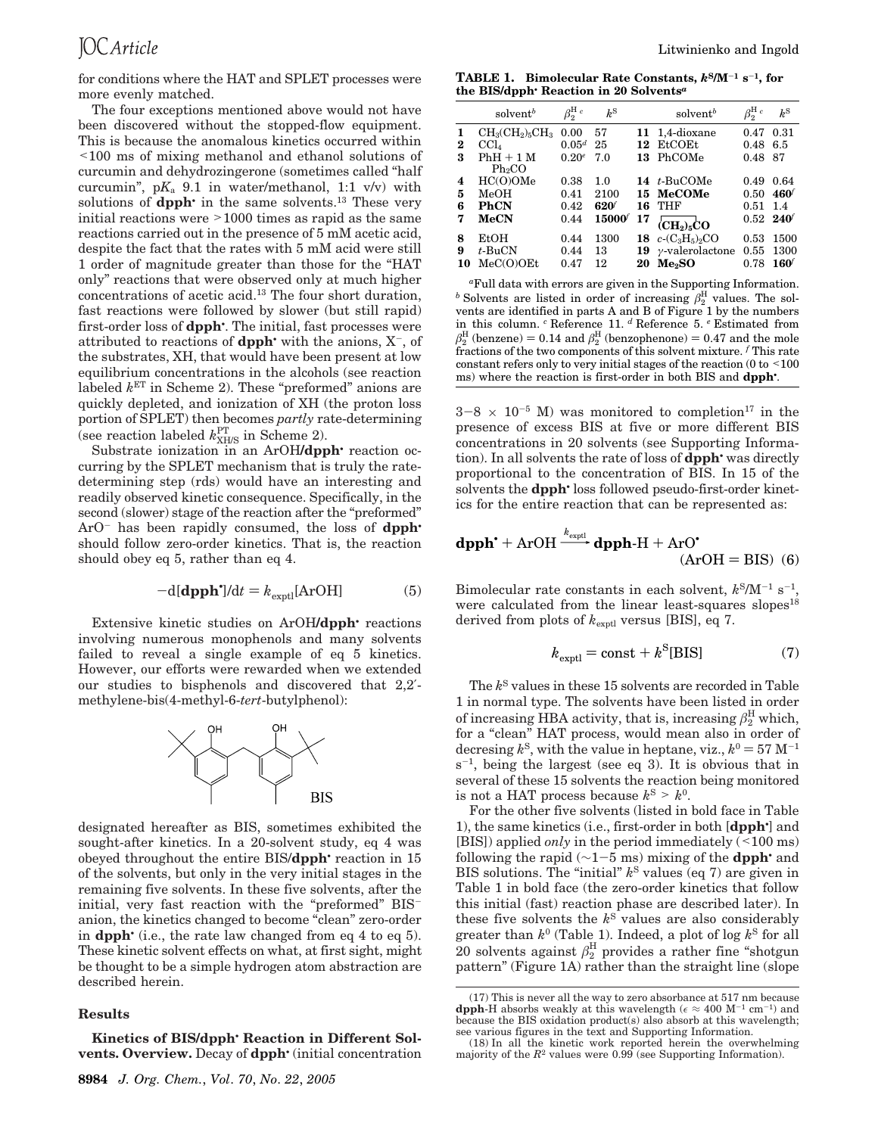for conditions where the HAT and SPLET processes were more evenly matched.

The four exceptions mentioned above would not have been discovered without the stopped-flow equipment. This is because the anomalous kinetics occurred within <100 ms of mixing methanol and ethanol solutions of curcumin and dehydrozingerone (sometimes called "half curcumin", p*K*<sup>a</sup> 9.1 in water/methanol, 1:1 v/v) with solutions of **dpph**<sup>•</sup> in the same solvents.<sup>13</sup> These very initial reactions were >1000 times as rapid as the same reactions carried out in the presence of 5 mM acetic acid, despite the fact that the rates with 5 mM acid were still 1 order of magnitude greater than those for the "HAT only" reactions that were observed only at much higher concentrations of acetic acid.<sup>13</sup> The four short duration, fast reactions were followed by slower (but still rapid) first-order loss of **dpph**• . The initial, fast processes were attributed to reactions of **dpph** with the anions,  $X^-$ , of the substrates, XH, that would have been present at low equilibrium concentrations in the alcohols (see reaction labeled *k* ET in Scheme 2). These "preformed" anions are quickly depleted, and ionization of XH (the proton loss portion of SPLET) then becomes *partly* rate-determining (see reaction labeled  $k_{\text{XH/S}}^{\text{PT}}$  in Scheme 2).

Substrate ionization in an ArOH**/dpph**• reaction occurring by the SPLET mechanism that is truly the ratedetermining step (rds) would have an interesting and readily observed kinetic consequence. Specifically, in the second (slower) stage of the reaction after the "preformed" ArO- has been rapidly consumed, the loss of **dpph**• should follow zero-order kinetics. That is, the reaction should obey eq 5, rather than eq 4.

$$
-d[\text{dpph}^{\prime}]/dt = k_{\text{exptl}}[\text{ArOH}] \tag{5}
$$

Extensive kinetic studies on ArOH**/dpph**• reactions involving numerous monophenols and many solvents failed to reveal a single example of eq 5 kinetics. However, our efforts were rewarded when we extended our studies to bisphenols and discovered that 2,2′ methylene-bis(4-methyl-6-*tert*-butylphenol):



designated hereafter as BIS, sometimes exhibited the sought-after kinetics. In a 20-solvent study, eq 4 was obeyed throughout the entire BIS/**dpph**• reaction in 15 of the solvents, but only in the very initial stages in the remaining five solvents. In these five solvents, after the initial, very fast reaction with the "preformed" BISanion, the kinetics changed to become "clean" zero-order in **dpph**• (i.e., the rate law changed from eq 4 to eq 5). These kinetic solvent effects on what, at first sight, might be thought to be a simple hydrogen atom abstraction are described herein.

#### **Results**

**4** HC(O)OMe 0.38 1.0 **14** *t*-BuCOMe 0.49 0.64 **5** MeOH 0.41 2100 **15 MeCOMe** 0.50 **460***<sup>f</sup>* **6 PhCN** 0.42 **620<sup>***f***</sup> 16 THF 0.51 1.4<br><b>7 MeCN** 0.44 **15000**<sup>*f*</sup> 17 CHUNG</sub> 0.52 **240**<sup>*f*</sup> **7 MeCN** 0.44 **<sup>15000</sup>***<sup>f</sup>* **<sup>17</sup> (CH2)5CO** 0.52 **<sup>240</sup>***<sup>f</sup>* **8** EtOH 0.44 1300 **18**  $c$ -(C<sub>3</sub>H<sub>5</sub>)<sub>2</sub>CO 0.53 1500<br>**9** *t*-BuCN 0.44 13 **19**  $\gamma$ -valerolactone 0.55 1300  $γ$ -valerolactone 0.55 1300 **10** MeC(O)OEt 0.47 12 **20 Me2SO** 0.78 **160***<sup>f</sup>*

**TABLE 1. Bimolecular Rate Constants,** *k***<sup>S</sup>/M**-**<sup>1</sup> s** -**1 , for**

**1** CH3(CH2)5CH<sup>3</sup> 0.00 57 **11** 1,4-dioxane 0.47 0.31 **2** CCl<sup>4</sup> 0.05*<sup>d</sup>* 25 **12** EtCOEt 0.48 6.5

**the BIS/dpph**• **Reaction in 20 Solvents***<sup>a</sup>*

 $\beta_2^{\text{H }c}$  *k*<sup>S</sup>

solvent<sup>*b*</sup>

**3** PhH + 1 M  $Ph<sub>2</sub>CO$ <br>HC(O)OMe

*<sup>a</sup>*Full data with errors are given in the Supporting Information. <sup>*b*</sup> Solvents are listed in order of increasing  $\beta_2^{\text{H}}$  values. The solvents are identified in parts A and B of Figure 1 by the numbers in this column. *<sup>c</sup>* Reference 11. *<sup>d</sup>* Reference 5. *<sup>e</sup>* Estimated from  $\beta_2^{\rm H}$  (benzene) = 0.14 and  $\beta_2^{\rm H}$  (benzophenone) = 0.47 and the mole fractions of the two components of this solvent mixture. *<sup>f</sup>* This rate constant refers only to very initial stages of the reaction ( $0$  to  $\leq 100$ ) ms) where the reaction is first-order in both BIS and **dpph**• .

 $3-8 \times 10^{-5}$  M) was monitored to completion<sup>17</sup> in the presence of excess BIS at five or more different BIS concentrations in 20 solvents (see Supporting Information). In all solvents the rate of loss of **dpph**• was directly proportional to the concentration of BIS. In 15 of the solvents the **dpph**• loss followed pseudo-first-order kinet-

ics for the entire reaction that can be represented as:  
\n**dpph' + ArOH** 
$$
\xrightarrow{k_{\text{expl}}}
$$
 **dpph-H + ArO'**  
\n(AroH = BIS) (6)

Bimolecular rate constants in each solvent,  $k<sup>S</sup>/M<sup>-1</sup> s<sup>-1</sup>$ , were calculated from the linear least-squares slopes<sup>18</sup> derived from plots of  $k_{\text{exptl}}$  versus [BIS], eq 7.

$$
k_{\text{exptl}} = \text{const} + k^{\text{S}}[\text{BIS}] \tag{7}
$$

The *k* <sup>S</sup> values in these 15 solvents are recorded in Table 1 in normal type. The solvents have been listed in order of increasing HBA activity, that is, increasing  $\beta_2^{\rm H}$  which, for a "clean" HAT process, would mean also in order of decresing  $k^{\rm S}$ , with the value in heptane, viz.,  $k^{\rm 0} = 57$  M<sup>-1</sup>  $s^{-1}$ , being the largest (see eq 3). It is obvious that in several of these 15 solvents the reaction being monitored is not a HAT process because  $k^S > k^0$ .

For the other five solvents (listed in bold face in Table 1), the same kinetics (i.e., first-order in both [**dpph**• ] and [BIS]) applied *only* in the period immediately (<100 ms) following the rapid (∼1-5 ms) mixing of the **dpph**• and BIS solutions. The "initial" *k* <sup>S</sup> values (eq 7) are given in Table 1 in bold face (the zero-order kinetics that follow this initial (fast) reaction phase are described later). In these five solvents the *k* <sup>S</sup> values are also considerably greater than  $k^0$  (Table 1). Indeed, a plot of log  $k^S$  for all 20 solvents against  $\beta_2^{\rm H}$  provides a rather fine "shotgun pattern" (Figure 1A) rather than the straight line (slope

 $\beta_2^{\text{H }c}$ 

 $k^{\mathrm{S}}$ 

 $\text{solvent}^t$ 

13 PhCOMe

<sup>(17)</sup> This is never all the way to zero absorbance at 517 nm because **dpph**-H absorbs weakly at this wavelength ( $\epsilon \approx 400$  M<sup>-1</sup> cm<sup>-1</sup>) and because the BIS oxidation product(s) also absorb at this wavelength; see various figures in the text and Supporting Information.

**Kinetics of BIS/dpph**• **Reaction in Different Solvents. Overview.** Decay of **dpph**• (initial concentration

<sup>(18)</sup> In all the kinetic work reported herein the overwhelming majority of the  $R^2$  values were  $0.99$  (see Supporting Information).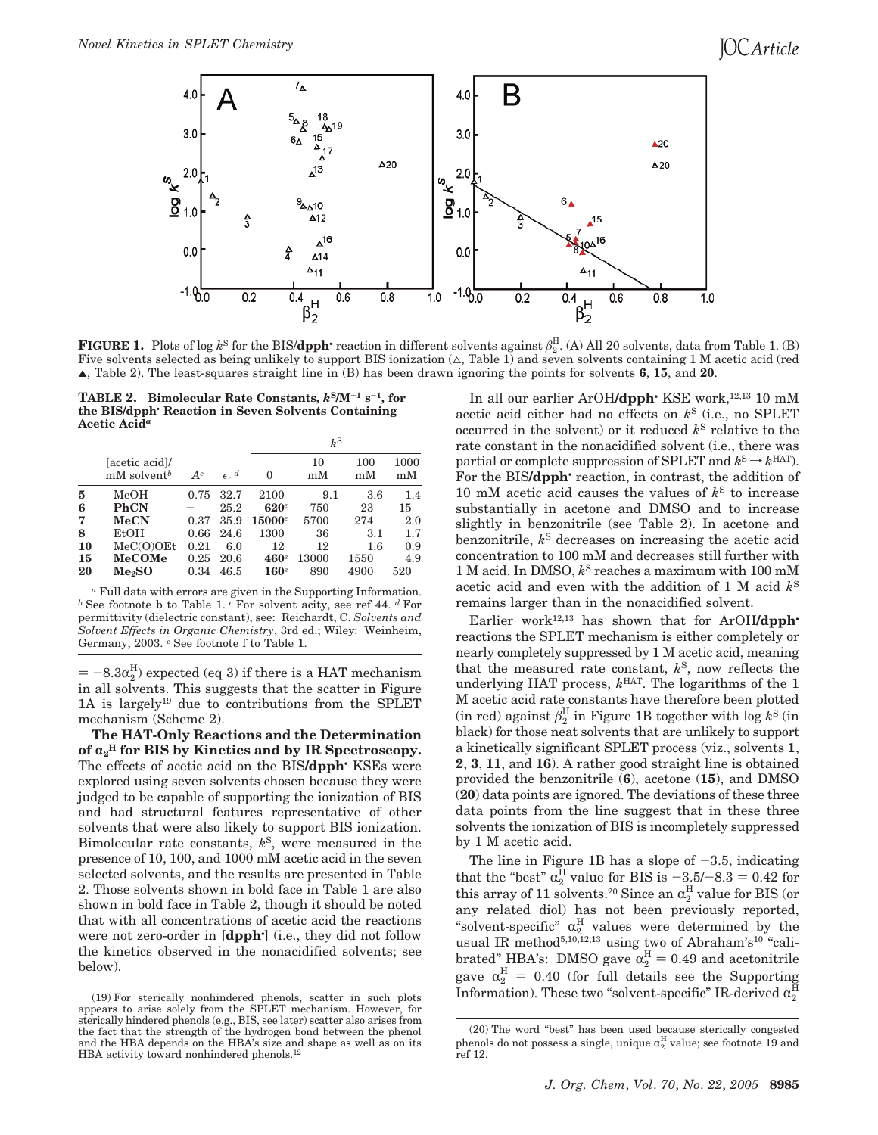## **IOC** Article



**FIGURE 1.** Plots of log  $k^{\text{S}}$  for the BIS/**dpph**• reaction in different solvents against  $\beta_2^{\text{H}}$ . (A) All 20 solvents, data from Table 1. (B) Five solvents selected as being unlikely to support BIS ionization  $(\triangle, \text{Table 1})$  and seven solvents containing 1 M acetic acid (red 2, Table 2). The least-squares straight line in (B) has been drawn ignoring the points for solvents **6**, **15**, and **20**.

**TABLE 2. Bimolecular Rate Constants,** *k***<sup>S</sup>/M**-**<sup>1</sup> s** -**1 , for the BIS/dpph**• **Reaction in Seven Solvents Containing Acetic Acid***<sup>a</sup>*

|    |                                            |       |                           | $k^{\mathrm{S}}$ |          |           |            |
|----|--------------------------------------------|-------|---------------------------|------------------|----------|-----------|------------|
|    | (acetic acid)<br>$mM$ solvent <sup>b</sup> | $A^c$ | $\epsilon_r$ <sup>d</sup> | 0                | 10<br>mM | 100<br>mM | 1000<br>mM |
| 5  | $_{\rm MeOH}$                              | 0.75  | 32.7                      | 2100             | 9.1      | 3.6       | 1.4        |
| 6  | <b>PhCN</b>                                |       | 25.2                      | $620^e$          | 750      | 23        | 15         |
| 7  | <b>MeCN</b>                                | 0.37  | 35.9                      | $15000^e$        | 5700     | 274       | 2.0        |
| 8  | EtOH                                       | 0.66  | 24.6                      | 1300             | 36       | 3.1       | 1.7        |
| 10 | $MeC(O)$ OEt                               | 0.21  | 6.0                       | 12               | 12       | 1.6       | 0.9        |
| 15 | MeCOMe                                     | 0.25  | 20.6                      | $460^e$          | 13000    | 1550      | 4.9        |
| 20 | Me2SO                                      | 0.34  | 46.5                      | $160^e$          | 890      | 4900      | 520        |

*<sup>a</sup>* Full data with errors are given in the Supporting Information. *<sup>b</sup>* See footnote b to Table 1. *<sup>c</sup>* For solvent acity, see ref 44. *<sup>d</sup>* For permittivity (dielectric constant), see: Reichardt, C. *Solvents and Solvent Effects in Organic Chemistry*, 3rd ed.; Wiley: Weinheim, Germany, 2003. *<sup>e</sup>* See footnote f to Table 1.

 $= -8.3\alpha_2^{\rm H}$ ) expected (eq 3) if there is a HAT mechanism in all solvents. This suggests that the scatter in Figure 1A is largely<sup>19</sup> due to contributions from the SPLET mechanism (Scheme 2).

**The HAT-Only Reactions and the Determination of** r**<sup>2</sup> <sup>H</sup> for BIS by Kinetics and by IR Spectroscopy.** The effects of acetic acid on the BIS**/dpph**• KSEs were explored using seven solvents chosen because they were judged to be capable of supporting the ionization of BIS and had structural features representative of other solvents that were also likely to support BIS ionization. Bimolecular rate constants, *k* S , were measured in the presence of 10, 100, and 1000 mM acetic acid in the seven selected solvents, and the results are presented in Table 2. Those solvents shown in bold face in Table 1 are also shown in bold face in Table 2, though it should be noted that with all concentrations of acetic acid the reactions were not zero-order in [**dpph**• ] (i.e., they did not follow the kinetics observed in the nonacidified solvents; see below).

In all our earlier ArOH/dpph<sup>•</sup> KSE work,<sup>12,13</sup> 10 mM acetic acid either had no effects on *k* S (i.e., no SPLET occurred in the solvent) or it reduced *k* <sup>S</sup> relative to the rate constant in the nonacidified solvent (i.e., there was partial or complete suppression of SPLET and  $k^{\text{S}} \to k^{\text{HAT}}$ ). For the BIS**/dpph**• reaction, in contrast, the addition of 10 mM acetic acid causes the values of  $k^{\rm S}$  to increase substantially in acetone and DMSO and to increase slightly in benzonitrile (see Table 2). In acetone and benzonitrile, *k* <sup>S</sup> decreases on increasing the acetic acid concentration to 100 mM and decreases still further with 1 M acid. In DMSO, *k* <sup>S</sup> reaches a maximum with 100 mM acetic acid and even with the addition of 1 M acid *k* S remains larger than in the nonacidified solvent.

Earlier work<sup>12,13</sup> has shown that for ArOH/dpph<sup>•</sup> reactions the SPLET mechanism is either completely or nearly completely suppressed by 1 M acetic acid, meaning that the measured rate constant, *k* S , now reflects the underlying HAT process, *k* HAT. The logarithms of the 1 M acetic acid rate constants have therefore been plotted  $\sin$  red) against  $\beta_2^{\text{H}}$  in Figure 1B together with  $\log k^{\text{S}}$  (in black) for those neat solvents that are unlikely to support a kinetically significant SPLET process (viz., solvents **1**, **2**, **3**, **11**, and **16**). A rather good straight line is obtained provided the benzonitrile (**6**), acetone (**15**), and DMSO (**20**) data points are ignored. The deviations of these three data points from the line suggest that in these three solvents the ionization of BIS is incompletely suppressed by 1 M acetic acid.

The line in Figure 1B has a slope of  $-3.5$ , indicating that the "best"  $\alpha_2^{\text{H}}$  value for BIS is  $-3.5/-8.3 = 0.42$  for this array of 11 solvents. $^{20}$  Since an  $\alpha_2^{\rm H}$  value for BIS (or any related diol) has not been previously reported, "solvent-specific"  $\alpha_2^H$  values were determined by the usual IR method<sup>5,10,12,13</sup> using two of Abraham's<sup>10</sup> "calibrated" HBA's: DMSO gave  $\alpha_2^{\text{H}} = 0.49$  and acetonitrile gave  $\alpha_2^H = 0.40$  (for full details see the Supporting Information). These two "solvent-specific" IR-derived  $\alpha_2^{\rm H}$ 

<sup>(19)</sup> For sterically nonhindered phenols, scatter in such plots appears to arise solely from the SPLET mechanism. However, for sterically hindered phenols (e.g., BIS, see later) scatter also arises from the fact that the strength of the hydrogen bond between the phenol and the HBA depends on the HBA's size and shape as well as on its HBA activity toward nonhindered phenols.<sup>12</sup>

<sup>(20)</sup> The word "best" has been used because sterically congested phenols do not possess a single, unique  $\alpha_2^{\rm H}$  value; see footnote 19 and ref 12.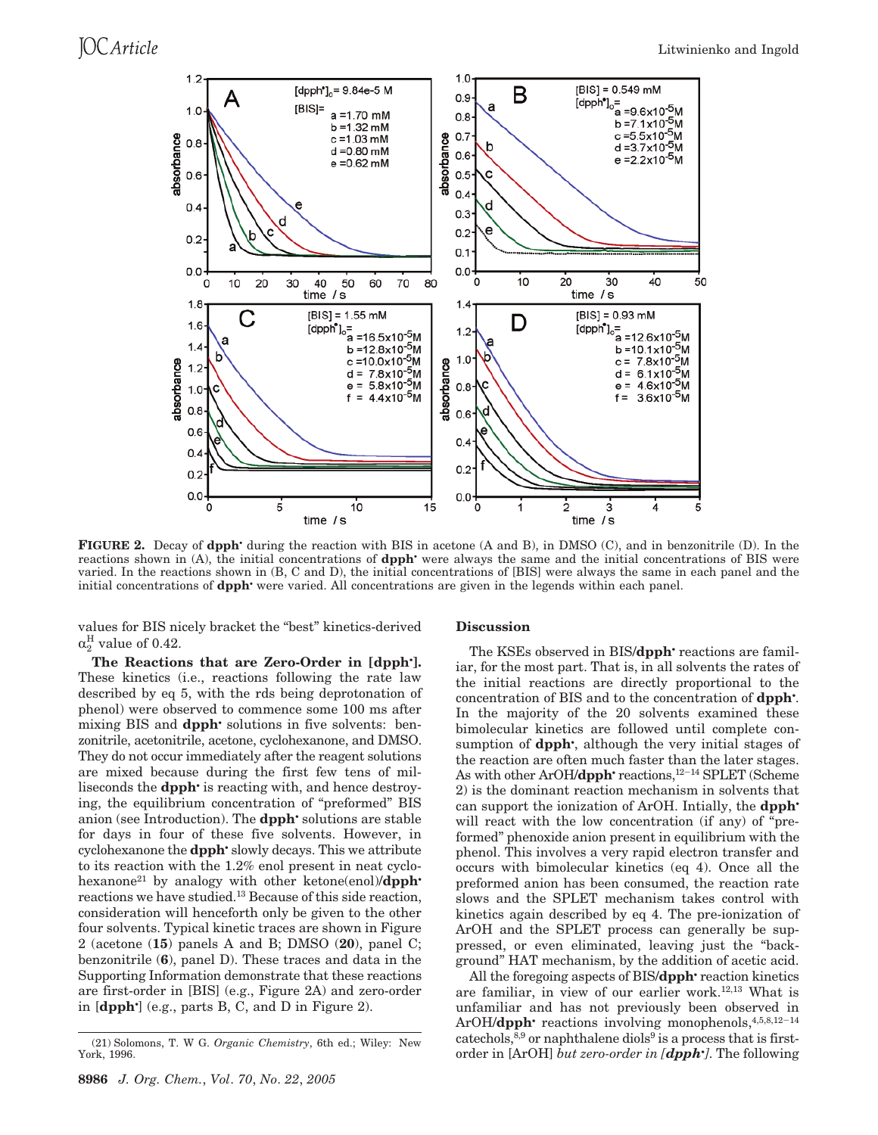

**FIGURE 2.** Decay of **dpph**• during the reaction with BIS in acetone (A and B), in DMSO (C), and in benzonitrile (D). In the reactions shown in (A), the initial concentrations of **dpph**• were always the same and the initial concentrations of BIS were varied. In the reactions shown in (B, C and D), the initial concentrations of [BIS] were always the same in each panel and the initial concentrations of **dpph**• were varied. All concentrations are given in the legends within each panel.

values for BIS nicely bracket the "best" kinetics-derived  $\alpha_2^{\rm H}$  value of 0.42.

**The Reactions that are Zero-Order in [dpph**• **].** These kinetics (i.e., reactions following the rate law described by eq 5, with the rds being deprotonation of phenol) were observed to commence some 100 ms after mixing BIS and **dpph**• solutions in five solvents: benzonitrile, acetonitrile, acetone, cyclohexanone, and DMSO. They do not occur immediately after the reagent solutions are mixed because during the first few tens of milliseconds the **dpph**• is reacting with, and hence destroying, the equilibrium concentration of "preformed" BIS anion (see Introduction). The **dpph**• solutions are stable for days in four of these five solvents. However, in cyclohexanone the **dpph**• slowly decays. This we attribute to its reaction with the 1.2% enol present in neat cyclohexanone<sup>21</sup> by analogy with other ketone(enol)**/dpph**<sup>•</sup> reactions we have studied.<sup>13</sup> Because of this side reaction, consideration will henceforth only be given to the other four solvents. Typical kinetic traces are shown in Figure 2 (acetone (**15**) panels A and B; DMSO (**20**), panel C; benzonitrile (**6**), panel D). These traces and data in the Supporting Information demonstrate that these reactions are first-order in [BIS] (e.g., Figure 2A) and zero-order in [**dpph**• ] (e.g., parts B, C, and D in Figure 2).

#### **Discussion**

The KSEs observed in BIS/**dpph**• reactions are familiar, for the most part. That is, in all solvents the rates of the initial reactions are directly proportional to the concentration of BIS and to the concentration of **dpph**• . In the majority of the 20 solvents examined these bimolecular kinetics are followed until complete consumption of **dpph**<sup>\*</sup>, although the very initial stages of the reaction are often much faster than the later stages. As with other ArOH/**dpph**<sup>•</sup> reactions,<sup>12-14</sup> SPLET (Scheme 2) is the dominant reaction mechanism in solvents that can support the ionization of ArOH. Intially, the **dpph**• will react with the low concentration (if any) of "preformed" phenoxide anion present in equilibrium with the phenol. This involves a very rapid electron transfer and occurs with bimolecular kinetics (eq 4). Once all the preformed anion has been consumed, the reaction rate slows and the SPLET mechanism takes control with kinetics again described by eq 4. The pre-ionization of ArOH and the SPLET process can generally be suppressed, or even eliminated, leaving just the "background" HAT mechanism, by the addition of acetic acid.

All the foregoing aspects of BIS/**dpph**• reaction kinetics are familiar, in view of our earlier work.12,13 What is unfamiliar and has not previously been observed in ArOH/**dpph**• reactions involving monophenols,<sup>4,5,8,12-14</sup>  $catechols$ ,  $8.9$  or naphthalene diols<sup>9</sup> is a process that is firstorder in [ArOH] *but zero-order in [dpph*• *]*. The following

<sup>(21)</sup> Solomons, T. W G. *Organic Chemistry*, 6th ed.; Wiley: New York, 1996.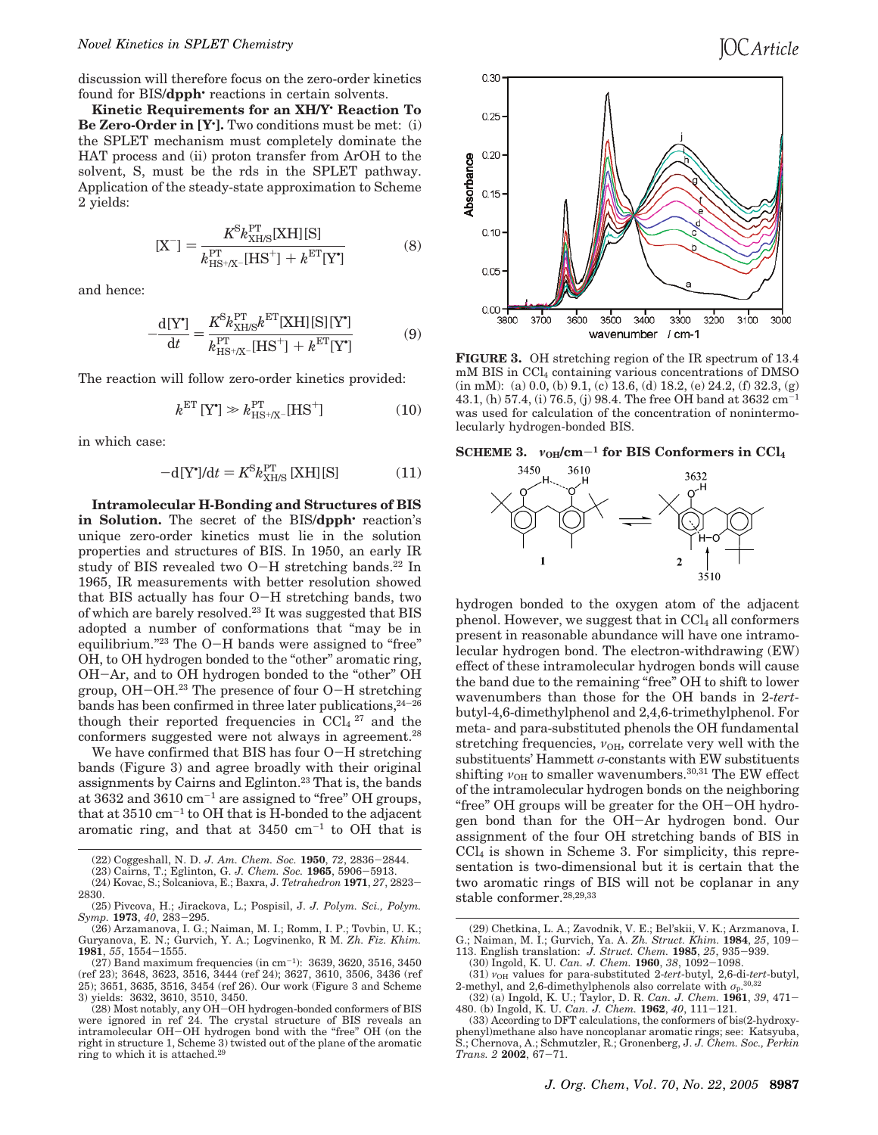discussion will therefore focus on the zero-order kinetics found for BIS/**dpph**• reactions in certain solvents.

**Kinetic Requirements for an XH/Y**• **Reaction To Be Zero-Order in [Y**• **].** Two conditions must be met: (i) the SPLET mechanism must completely dominate the HAT process and (ii) proton transfer from ArOH to the solvent, S, must be the rds in the SPLET pathway. Application of the steady-state approximation to Scheme 2 yields:

$$
[X^-] = \frac{K^8 k_{XHS}^{\rm PT}[XH][S]}{k_{HS+X^-}^{\rm PT}[HS^+] + k^{\rm ET}[Y^*]}
$$
(8)

and hence:

$$
-\frac{\mathrm{d}[\mathbf{Y}^*]}{\mathrm{d}t} = \frac{K^{\mathrm{S}} k_{\mathrm{XHIS}}^{\mathrm{PT}} k^{\mathrm{ET}} [\mathrm{XH}] [\mathrm{S}] [\mathbf{Y}^*]}{k_{\mathrm{HS}^+/X}^{\mathrm{PT}} [\mathrm{HS}^+] + k^{\mathrm{ET}} [\mathbf{Y}^*]} \tag{9}
$$

The reaction will follow zero-order kinetics provided:

$$
k^{\text{ET}} \left[ Y^{\bullet} \right] \gg k^{\text{PT}}_{\text{HS} + \text{IX}^-} [\text{HS}^+] \tag{10}
$$

in which case:

$$
-d[Y^{\bullet}]/dt = K^{S}k_{XHS}^{PT}[XH][S]
$$
 (11)

**Intramolecular H-Bonding and Structures of BIS in Solution.** The secret of the BIS/**dpph**• reaction's unique zero-order kinetics must lie in the solution properties and structures of BIS. In 1950, an early IR study of BIS revealed two  $O-H$  stretching bands.<sup>22</sup> In 1965, IR measurements with better resolution showed that BIS actually has four O-H stretching bands, two of which are barely resolved.<sup>23</sup> It was suggested that BIS adopted a number of conformations that "may be in equilibrium."<sup>23</sup> The O-H bands were assigned to "free" OH, to OH hydrogen bonded to the "other" aromatic ring, OH-Ar, and to OH hydrogen bonded to the "other" OH group, OH-OH.<sup>23</sup> The presence of four O-H stretching bands has been confirmed in three later publications,  $24-26$ though their reported frequencies in  $CCl<sub>4</sub>$ <sup>27</sup> and the conformers suggested were not always in agreement.<sup>28</sup>

We have confirmed that BIS has four O-H stretching bands (Figure 3) and agree broadly with their original assignments by Cairns and Eglinton.<sup>23</sup> That is, the bands at  $3632$  and  $3610 \text{ cm}^{-1}$  are assigned to "free" OH groups, that at 3510 cm-<sup>1</sup> to OH that is H-bonded to the adjacent aromatic ring, and that at  $3450 \text{ cm}^{-1}$  to OH that is

(27) Band maximum frequencies (in cm-<sup>1</sup> ): 3639, 3620, 3516, 3450 (ref 23); 3648, 3623, 3516, 3444 (ref 24); 3627, 3610, 3506, 3436 (ref 25); 3651, 3635, 3516, 3454 (ref 26). Our work (Figure 3 and Scheme 3) yields: 3632, 3610, 3510, 3450.



**FIGURE 3.** OH stretching region of the IR spectrum of 13.4 mM BIS in CCl<sub>4</sub> containing various concentrations of DMSO (in mM): (a) 0.0, (b) 9.1, (c) 13.6, (d) 18.2, (e) 24.2, (f) 32.3, (g) 43.1, (h) 57.4, (i) 76.5, (j) 98.4. The free OH band at 3632 cm-<sup>1</sup> was used for calculation of the concentration of nonintermolecularly hydrogen-bonded BIS.

**SCHEME** 3.  $v_{OH}/cm^{-1}$  for BIS Conformers in CCl<sub>4</sub>



hydrogen bonded to the oxygen atom of the adjacent phenol. However, we suggest that in  $CCl<sub>4</sub>$  all conformers present in reasonable abundance will have one intramolecular hydrogen bond. The electron-withdrawing (EW) effect of these intramolecular hydrogen bonds will cause the band due to the remaining "free" OH to shift to lower wavenumbers than those for the OH bands in 2-*tert*butyl-4,6-dimethylphenol and 2,4,6-trimethylphenol. For meta- and para-substituted phenols the OH fundamental stretching frequencies,  $v_{OH}$ , correlate very well with the substituents' Hammett  $\sigma$ -constants with EW substituents shifting  $v_{OH}$  to smaller wavenumbers.<sup>30,31</sup> The EW effect of the intramolecular hydrogen bonds on the neighboring "free" OH groups will be greater for the OH-OH hydrogen bond than for the OH-Ar hydrogen bond. Our assignment of the four OH stretching bands of BIS in  $\text{CCl}_4$  is shown in Scheme 3. For simplicity, this representation is two-dimensional but it is certain that the two aromatic rings of BIS will not be coplanar in any stable conformer.<sup>28,29,33</sup>

<sup>(22)</sup> Coggeshall, N. D. *J. Am. Chem. Soc.* **1950**, *72*, 2836-2844.

<sup>(23)</sup> Cairns, T.; Eglinton, G. *J. Chem. Soc.* **1965**, 5906-5913.

<sup>(24)</sup> Kovac, S.; Solcaniova, E.; Baxra, J. *Tetrahedron* **1971**, *27*, 2823- 2830.

<sup>(25)</sup> Pivcova, H.; Jirackova, L.; Pospisil, J. *J. Polym. Sci., Polym. Symp.* **1973**, *40*, 283-295.

<sup>(26)</sup> Arzamanova, I. G.; Naiman, M. I.; Romm, I. P.; Tovbin, U. K.; Guryanova, E. N.; Gurvich, Y. A.; Logvinenko, R M. *Zh. Fiz. Khim.* **1981**, *55*, 1554-1555.

<sup>(28)</sup> Most notably, any OH-OH hydrogen-bonded conformers of BIS were ignored in ref 24. The crystal structure of BIS reveals an intramolecular OH-OH hydrogen bond with the "free" OH (on the right in structure 1, Scheme 3) twisted out of the plane of the aromatic ring to which it is attached.<sup>29</sup>

<sup>(29)</sup> Chetkina, L. A.; Zavodnik, V. E.; Bel'skii, V. K.; Arzmanova, I. G.; Naiman, M. I.; Gurvich, Ya. A. *Zh. Struct. Khim.* **1984**, *25*, 109-

<sup>113.</sup> English translation: *J. Struct. Chem.* **1985**, *25*, 935-939.

<sup>(30)</sup> Ingold, K. U. *Can. J. Chem.* **1960**, *38*, 1092-1098.

<sup>(31)</sup>  $v_{OH}$  values for para-substituted 2-tert-butyl, 2,6-di-tert-butyl, 2-methyl, and 2,6-dimethylphenols also correlate with  $\sigma_{\rm p}$ <sup>30,32</sup>

<sup>(32) (</sup>a) Ingold, K. U.; Taylor, D. R. *Can. J. Chem.* **1961**, *39*, 471- 480. (b) Ingold, K. U. *Can. J. Chem.* **1962**, *40*, 111-121.

<sup>(33)</sup> According to DFT calculations, the conformers of bis(2-hydroxyphenyl)methane also have noncoplanar aromatic rings; see: Katsyuba, S.; Chernova, A.; Schmutzler, R.; Gronenberg, J. *J. Chem. Soc., Perkin Trans. 2* **2002**, 67-71.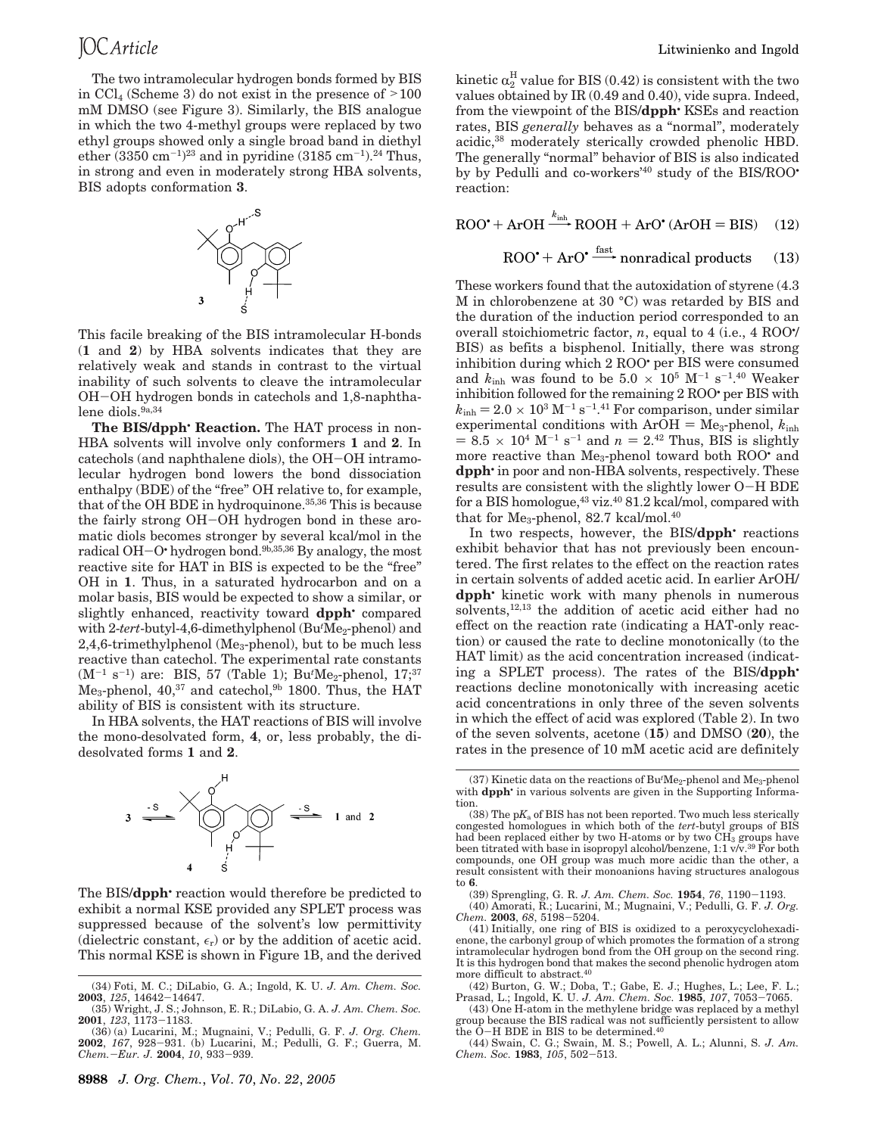The two intramolecular hydrogen bonds formed by BIS in  $\text{CCl}_4$  (Scheme 3) do not exist in the presence of  $>100$ mM DMSO (see Figure 3). Similarly, the BIS analogue in which the two 4-methyl groups were replaced by two ethyl groups showed only a single broad band in diethyl ether  $(3350 \text{ cm}^{-1})^{23}$  and in pyridine  $(3185 \text{ cm}^{-1})^{24}$  Thus, in strong and even in moderately strong HBA solvents, BIS adopts conformation **3**.



This facile breaking of the BIS intramolecular H-bonds (**1** and **2**) by HBA solvents indicates that they are relatively weak and stands in contrast to the virtual inability of such solvents to cleave the intramolecular OH-OH hydrogen bonds in catechols and 1,8-naphthalene diols.<sup>9a,34</sup>

**The BIS/dpph**• **Reaction.** The HAT process in non-HBA solvents will involve only conformers **1** and **2**. In catechols (and naphthalene diols), the OH-OH intramolecular hydrogen bond lowers the bond dissociation enthalpy (BDE) of the "free" OH relative to, for example, that of the OH BDE in hydroquinone.<sup>35,36</sup> This is because the fairly strong OH-OH hydrogen bond in these aromatic diols becomes stronger by several kcal/mol in the radical OH-O• hydrogen bond.9b,35,36 By analogy, the most reactive site for HAT in BIS is expected to be the "free" OH in **1**. Thus, in a saturated hydrocarbon and on a molar basis, BIS would be expected to show a similar, or slightly enhanced, reactivity toward **dpph**• compared with 2-tert-butyl-4,6-dimethylphenol (Bu<sup>t</sup>Me<sub>2</sub>-phenol) and 2,4,6-trimethylphenol (Me<sub>3</sub>-phenol), but to be much less reactive than catechol. The experimental rate constants (M<sup>-1</sup> s<sup>-1</sup>) are: BIS, 57 (Table 1); Bu<sup>*t*</sup>Me<sub>2</sub>-phenol, 17;<sup>37</sup>  $Me<sub>3</sub>$ -phenol, 40,<sup>37</sup> and catechol,<sup>9b</sup> 1800. Thus, the HAT ability of BIS is consistent with its structure.

In HBA solvents, the HAT reactions of BIS will involve the mono-desolvated form, **4**, or, less probably, the didesolvated forms **1** and **2**.



The BIS/**dpph**• reaction would therefore be predicted to exhibit a normal KSE provided any SPLET process was suppressed because of the solvent's low permittivity (dielectric constant,  $\epsilon_r$ ) or by the addition of acetic acid. This normal KSE is shown in Figure 1B, and the derived

kinetic  $\alpha_2^{\text{H}}$  value for BIS (0.42) is consistent with the two values obtained by IR (0.49 and 0.40), vide supra. Indeed, from the viewpoint of the BIS/**dpph**• KSEs and reaction rates, BIS *generally* behaves as a "normal", moderately acidic,<sup>38</sup> moderately sterically crowded phenolic HBD. The generally "normal" behavior of BIS is also indicated by by Pedulli and co-workers'<sup>40</sup> study of the BIS/ROO• reaction:

 $\text{ROO'} + \text{ArOH} \xrightarrow{k_{\text{inh}}} \text{ROOH} + \text{ArO'} \text{ (ArOH = BIS)} \quad (12)$ <br> $\text{ROO'} + \text{ArO'} \xrightarrow{\text{fast}} \text{nonradical products} \quad (13)$ 

$$
ROO^* + ArO^*
$$
<sup>fast</sup> nonradical products (13)

These workers found that the autoxidation of styrene (4.3 M in chlorobenzene at 30 °C) was retarded by BIS and the duration of the induction period corresponded to an overall stoichiometric factor, *n*, equal to 4 (i.e., 4 ROO• / BIS) as befits a bisphenol. Initially, there was strong inhibition during which 2 ROO• per BIS were consumed and  $k_{\text{inh}}$  was found to be 5.0  $\times$  10<sup>5</sup> M<sup>-1</sup> s<sup>-1</sup>.<sup>40</sup> Weaker inhibition followed for the remaining 2 ROO• per BIS with  $k_{\text{inh}} = 2.0 \times 10^3 \text{ M}^{-1} \text{ s}^{-1}$ .<sup>41</sup> For comparison, under similar experimental conditions with  $ArOH = Me_3$ -phenol,  $k_{inh}$  $= 8.5 \times 10^{4} \text{ M}^{-1} \text{ s}^{-1}$  and  $n = 2^{42}$  Thus, BIS is slightly more reactive than Me<sub>3</sub>-phenol toward both ROO<sup>•</sup> and **dpph**• in poor and non-HBA solvents, respectively. These results are consistent with the slightly lower O-H BDE for a BIS homologue,<sup>43</sup> viz.<sup>40</sup> 81.2 kcal/mol, compared with that for Me<sub>3</sub>-phenol, 82.7 kcal/mol.<sup>40</sup>

In two respects, however, the BIS/**dpph**• reactions exhibit behavior that has not previously been encountered. The first relates to the effect on the reaction rates in certain solvents of added acetic acid. In earlier ArOH/ **dpph**• kinetic work with many phenols in numerous solvents,12,13 the addition of acetic acid either had no effect on the reaction rate (indicating a HAT-only reaction) or caused the rate to decline monotonically (to the HAT limit) as the acid concentration increased (indicating a SPLET process). The rates of the BIS/**dpph**• reactions decline monotonically with increasing acetic acid concentrations in only three of the seven solvents in which the effect of acid was explored (Table 2). In two of the seven solvents, acetone (**15**) and DMSO (**20**), the rates in the presence of 10 mM acetic acid are definitely

(39) Sprengling, G. R. *J. Am. Chem. Soc.* **1954**, *76*, 1190-1193. (40) Amorati, R.; Lucarini, M.; Mugnaini, V.; Pedulli, G. F. *J. Org. Chem.* **2003**, *68*, 5198-5204.

(41) Initially, one ring of BIS is oxidized to a peroxycyclohexadienone, the carbonyl group of which promotes the formation of a strong intramolecular hydrogen bond from the OH group on the second ring. It is this hydrogen bond that makes the second phenolic hydrogen atom more difficult to abstract.<sup>40</sup>

(42) Burton, G. W.; Doba, T.; Gabe, E. J.; Hughes, L.; Lee, F. L.; Prasad, L.; Ingold, K. U. *J. Am. Chem. Soc.* **1985**, *107*, 7053-7065.

(43) One H-atom in the methylene bridge was replaced by a methyl group because the BIS radical was not sufficiently persistent to allow the  $\ddot{\text{O}}$ -H BDE in BIS to be determined.<sup>40</sup>

(44) Swain, C. G.; Swain, M. S.; Powell, A. L.; Alunni, S. *J. Am. Chem. Soc.* **1983**, *105*, 502-513.

<sup>(34)</sup> Foti, M. C.; DiLabio, G. A.; Ingold, K. U. *J. Am. Chem. Soc.* **2003**, *125*, 14642-14647.

<sup>(35)</sup> Wright, J. S.; Johnson, E. R.; DiLabio, G. A. *J. Am. Chem. Soc.* **2001**, *123*, 1173-1183.

<sup>(36) (</sup>a) Lucarini, M.; Mugnaini, V.; Pedulli, G. F. *J. Org. Chem.* **2002**, *167*, 928-931. (b) Lucarini, M.; Pedulli, G. F.; Guerra, M. *Chem.*-*Eur. J.* **2004**, *10*, 933-939.

<sup>(37)</sup> Kinetic data on the reactions of Bu<sup>t</sup>Me<sub>2</sub>-phenol and Me<sub>3</sub>-phenol with **dpph** in various solvents are given in the Supporting Information.

<sup>(38)</sup> The  $pK<sub>a</sub>$  of BIS has not been reported. Two much less sterically congested homologues in which both of the *tert*-butyl groups of BIS had been replaced either by two H-atoms or by two  $CH<sub>3</sub>$  groups have been titrated with base in isopropyl alcohol/benzene, 1:1 v/v.<sup>39</sup> For both compounds, one OH group was much more acidic than the other, a result consistent with their monoanions having structures analogous to **6**.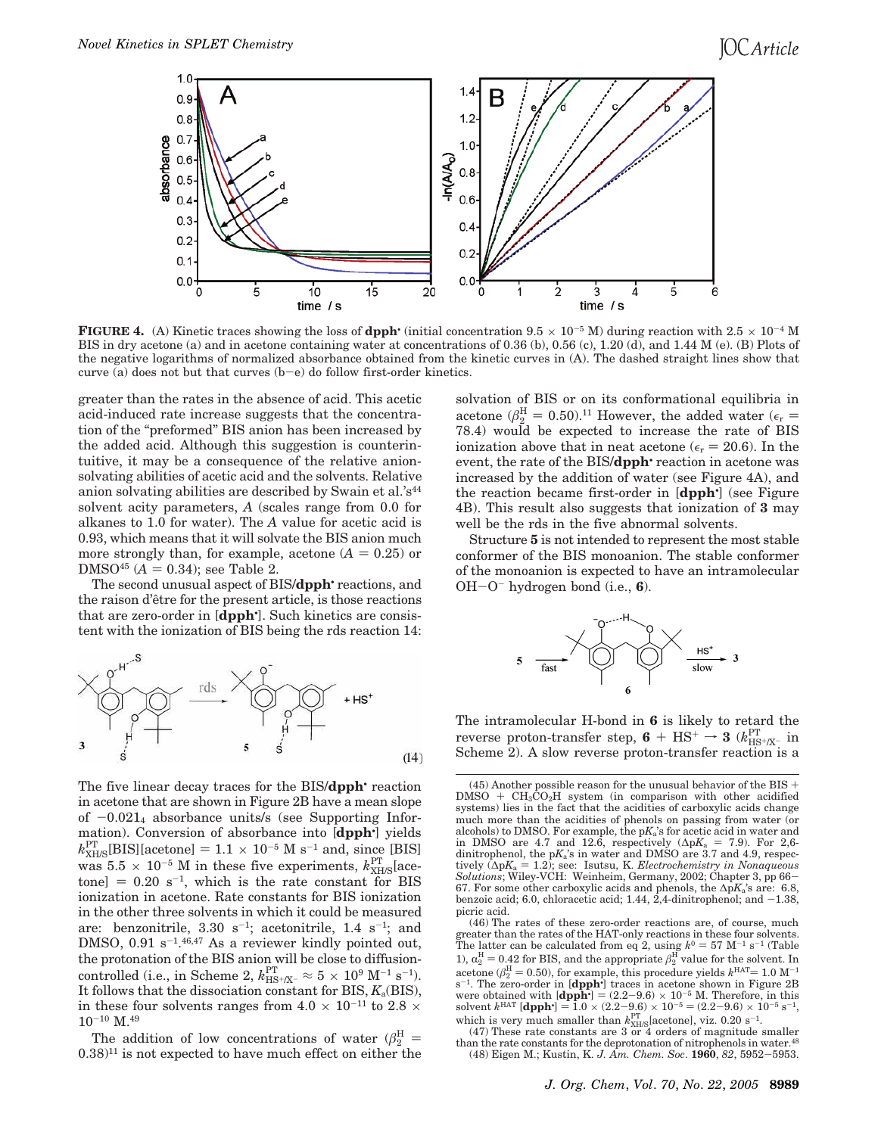

**FIGURE 4.** (A) Kinetic traces showing the loss of **dpph**• (initial concentration  $9.5 \times 10^{-5}$  M) during reaction with  $2.5 \times 10^{-4}$  M BIS in dry acetone (a) and in acetone containing water at concentrations of 0.36 (b), 0.56 (c), 1.20 (d), and 1.44 M (e). (B) Plots of the negative logarithms of normalized absorbance obtained from the kinetic curves in (A). The dashed straight lines show that curve (a) does not but that curves (b-e) do follow first-order kinetics.

greater than the rates in the absence of acid. This acetic acid-induced rate increase suggests that the concentration of the "preformed" BIS anion has been increased by the added acid. Although this suggestion is counterintuitive, it may be a consequence of the relative anionsolvating abilities of acetic acid and the solvents. Relative anion solvating abilities are described by Swain et al.' $s<sup>44</sup>$ solvent acity parameters, *A* (scales range from 0.0 for alkanes to 1.0 for water). The *A* value for acetic acid is 0.93, which means that it will solvate the BIS anion much more strongly than, for example, acetone  $(A = 0.25)$  or DMSO<sup>45</sup> ( $A = 0.34$ ); see Table 2.

The second unusual aspect of BIS/**dpph**• reactions, and the raison d'être for the present article, is those reactions that are zero-order in [**dpph**• ]. Such kinetics are consistent with the ionization of BIS being the rds reaction 14:



The five linear decay traces for the BIS/**dpph**• reaction in acetone that are shown in Figure 2B have a mean slope of  $-0.021_4$  absorbance units/s (see Supporting Information). Conversion of absorbance into [**dpph**• ] yields  $k_{\text{XH/S}}^{\text{PT}}$ [BIS][acetone] = 1.1 × 10<sup>-5</sup> M s<sup>-1</sup> and, since [BIS] was  $5.5 \times 10^{-5}$  M in these five experiments,  $k_{\text{XH/S}}^{\text{PT}}$  [acetone]  $= 0.20 \text{ s}^{-1}$ , which is the rate constant for BIS ionization in acetone. Rate constants for BIS ionization in the other three solvents in which it could be measured are: benzonitrile,  $3.30 \text{ s}^{-1}$ ; acetonitrile,  $1.4 \text{ s}^{-1}$ ; and DMSO,  $0.91 \text{ s}^{-1.46,47}$  As a reviewer kindly pointed out, the protonation of the BIS anion will be close to diffusioncontrolled (i.e., in Scheme 2,  $k_{\text{HS}+\text{/X-}}^{\text{PT}} \approx 5 \times 10^{9} \text{ M}^{-1} \text{ s}^{-1}$ ). It follows that the dissociation constant for  $BIS, K_a(BIS)$ , in these four solvents ranges from  $4.0 \times 10^{-11}$  to  $2.8 \times$  $10^{-10}$  M.<sup>49</sup>

The addition of low concentrations of water  $(\beta_2^H =$  $(0.38)^{11}$  is not expected to have much effect on either the

solvation of BIS or on its conformational equilibria in acetone ( $\beta_2^{\text{H}} = 0.50$ ).<sup>11</sup> However, the added water ( $\epsilon_r$  = 78.4) would be expected to increase the rate of BIS ionization above that in neat acetone ( $\epsilon_r = 20.6$ ). In the event, the rate of the BIS/**dpph** reaction in acetone was increased by the addition of water (see Figure 4A), and the reaction became first-order in [**dpph**• ] (see Figure 4B). This result also suggests that ionization of **3** may well be the rds in the five abnormal solvents.

Structure **5** is not intended to represent the most stable conformer of the BIS monoanion. The stable conformer of the monoanion is expected to have an intramolecular OH-O- hydrogen bond (i.e., **6**).



The intramolecular H-bond in **6** is likely to retard the reverse proton-transfer step,  $6 + \text{HS}^+ \rightarrow 3 \text{ } (k_{\text{HS}^+/X^-}^{\text{PT}} \text{ in}$ Scheme 2). A slow reverse proton-transfer reaction is a

(47) These rate constants are 3 or 4 orders of magnitude smaller than the rate constants for the deprotonation of nitrophenols in water.<sup>48</sup> (48) Eigen M.; Kustin, K. *J. Am. Chem. Soc*. **1960**, *82*, 5952-5953.

<sup>(45)</sup> Another possible reason for the unusual behavior of the BIS  $+$  $DMSO + CH<sub>3</sub>CO<sub>2</sub>H$  system (in comparison with other acidified systems) lies in the fact that the acidities of carboxylic acids change much more than the acidities of phenols on passing from water (or alcohols) to DMSO. For example, the p*K*a's for acetic acid in water and in DMSO are 4.7 and 12.6, respectively ( $\Delta pK_a$  = 7.9). For 2,6dinitrophenol, the p*K*a's in water and DMSO are 3.7 and 4.9, respectively  $(\Delta pK_a = 1.2)$ ; see: Isutsu, K. *Electrochemistry in Nonaqueous Solutions*; Wiley-VCH: Weinheim, Germany, 2002; Chapter 3, pp 66- 67. For some other carboxylic acids and phenols, the ∆p*K*a's are: 6.8, benzoic acid; 6.0, chloracetic acid; 1.44,  $2,4$ -dinitrophenol; and  $-1.38$ , picric acid.

<sup>(46)</sup> The rates of these zero-order reactions are, of course, much greater than the rates of the HAT-only reactions in these four solvents. The latter can be calculated from eq 2, using  $k^0 = 57$  M<sup>-1</sup> s<sup>-1</sup> (Table 1),  $\alpha_2^{\text{H}} = 0.42$  for BIS, and the appropriate  $\beta_2^{\text{H}}$  value for the solvent. In acetone ( $\beta_2^{\rm H} = 0.50$ ), for example, this procedure yields  $k^{\rm HAT}$  = 1.0 M<sup>-1</sup> s<sup>-1</sup>. The zero-order in [dpph<sup>•</sup>] traces in acetone shown in Figure 2B were obtained with  $\text{[dpph}^{\cdot}$  =  $(2.2-9.6) \times 10^{-5}$  M. Therefore, in this solvent  $k^{\text{HAT}}$  [**dpph**<sup>•</sup>] = 1.0  $\times$  (2.2-9.6)  $\times$  10<sup>-5</sup> = (2.2-9.6)  $\times$  10<sup>-5</sup> s<sup>-1</sup>, which is very much smaller than  $k_{\text{XH/S}}^{\text{PT}}$  [acetone], viz. 0.20 s<sup>-1</sup>.